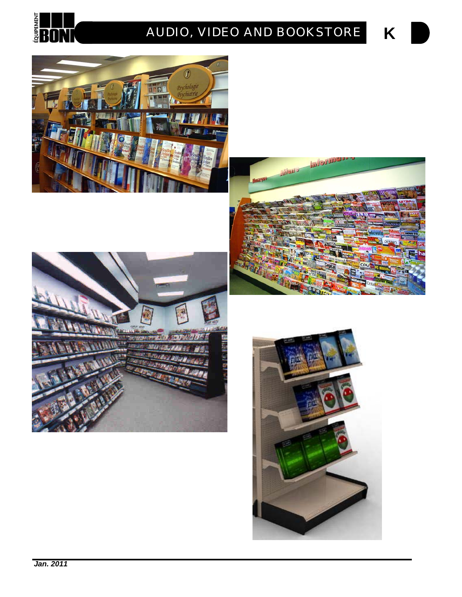

# **K** *AUDIO, VIDEO AND BOOKSTORE*







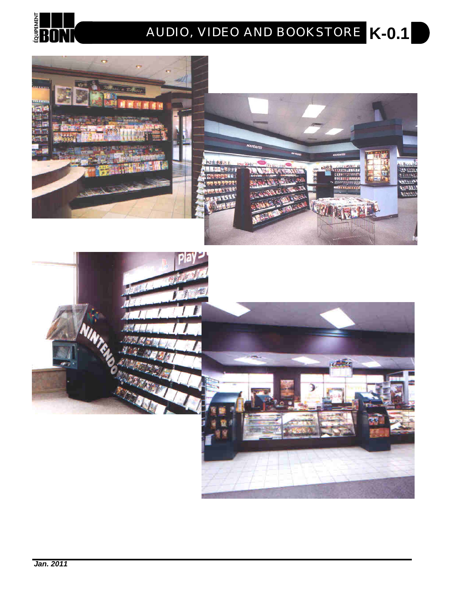

# **K-0.1** *AUDIO, VIDEO AND BOOKSTORE*



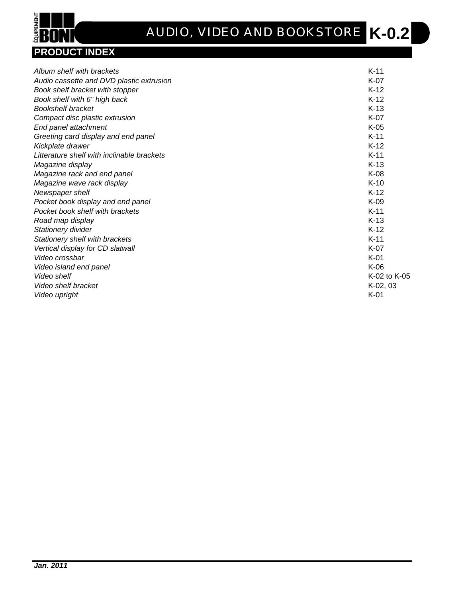

# **K-0.2** *AUDIO, VIDEO AND BOOKSTORE*

| Album shelf with brackets                  | $K-11$       |
|--------------------------------------------|--------------|
| Audio cassette and DVD plastic extrusion   | $K-07$       |
| Book shelf bracket with stopper            | $K-12$       |
| Book shelf with 6" high back               | $K-12$       |
| <b>Bookshelf bracket</b>                   | $K-13$       |
| Compact disc plastic extrusion             | $K-07$       |
| End panel attachment                       | $K-05$       |
| Greeting card display and end panel        | $K-11$       |
| Kickplate drawer                           | $K-12$       |
| Litterature shelf with inclinable brackets | $K-11$       |
| Magazine display                           | $K-13$       |
| Magazine rack and end panel                | $K-08$       |
| Magazine wave rack display                 | $K-10$       |
| Newspaper shelf                            | $K-12$       |
| Pocket book display and end panel          | $K-09$       |
| Pocket book shelf with brackets            | $K-11$       |
| Road map display                           | $K-13$       |
| Stationery divider                         | $K-12$       |
| Stationery shelf with brackets             | $K-11$       |
| Vertical display for CD slatwall           | $K-07$       |
| Video crossbar                             | $K-01$       |
| Video island end panel                     | $K-06$       |
| Video shelf                                | K-02 to K-05 |
| Video shelf bracket                        | $K-02, 03$   |
| Video upright                              | $K-01$       |
|                                            |              |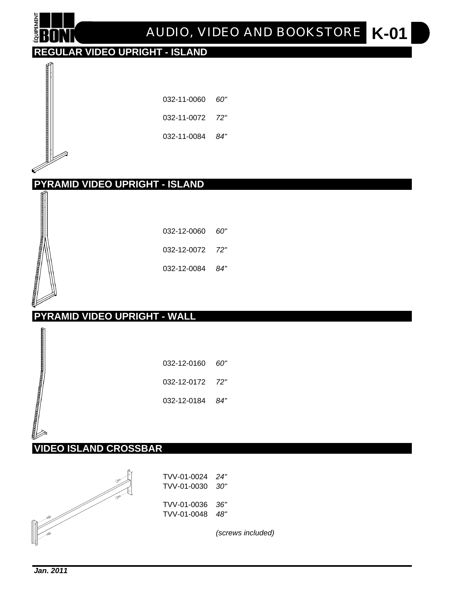

# **K-01** *AUDIO, VIDEO AND BOOKSTORE*

# **REGULAR VIDEO UPRIGHT - ISLAND**

| 032-11-0060 | 60' |
|-------------|-----|
|             |     |

032-11-0072 *72"*

032-11-0084 *84"*

# **PYRAMID VIDEO UPRIGHT - ISLAND**

| 032-12-0060 <i>60"</i> |     |
|------------------------|-----|
| 032-12-0072 72"        |     |
| 032-12-0084            | 84" |

#### **PYRAMID VIDEO UPRIGHT - WALL**

| 032-12-0160     | 60" |
|-----------------|-----|
| 032-12-0172 72" |     |
| 032-12-0184     | 84" |

#### **VIDEO ISLAND CROSSBAR**



*(screws included)*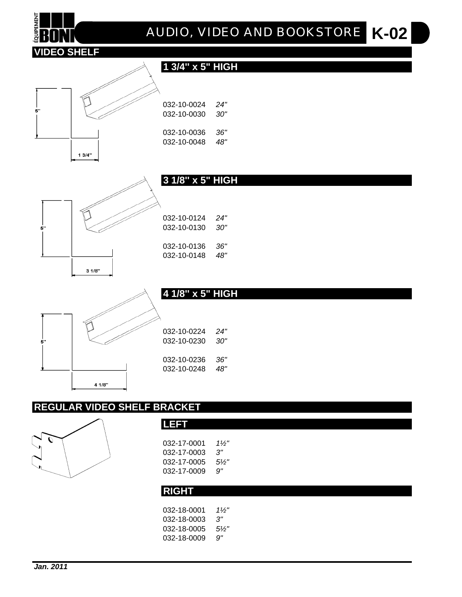

### **REGULAR VIDEO SHELF BRACKET**

**LEFT**



| 032-17-0001  | $1\frac{1}{2}$ |  |
|--------------|----------------|--|
| 032-17-0003  | 3"             |  |
| 032-17-0005  | $5\frac{1}{2}$ |  |
| 032-17-0009  | 9"             |  |
|              |                |  |
| <b>RIGHT</b> |                |  |
|              |                |  |
| 032-18-0001  | $1\frac{1}{2}$ |  |
| 032-18-0003  | 3"             |  |
| 032-18-0005  | $5\frac{1}{2}$ |  |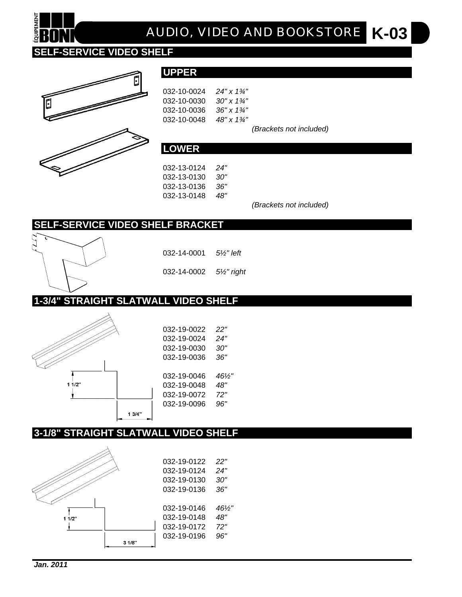

# **K-03** *AUDIO, VIDEO AND BOOKSTORE*

#### **SELF-SERVICE VIDEO SHELF**





**UPPER**

| 032-10-0024 | $24"$ x $1\%"$ |
|-------------|----------------|
| 032-10-0030 | 30" x 1¾"      |
| 032-10-0036 | 36" x 1¼"      |
| 032-10-0048 | 48" x 1¼"      |

*(Brackets not included)*

#### **LOWER**

032-13-0124 *24"* 032-13-0130 *30"* 032-13-0136 *36"* 032-13-0148 *48"*

*(Brackets not included)*

#### **SELF-SERVICE VIDEO SHELF BRACKET**



032-14-0001 *5½" left*

032-14-0002 *5½" right*

#### **1-3/4" STRAIGHT SLATWALL VIDEO SHELF**





#### **3-1/8" STRAIGHT SLATWALL VIDEO SHELF**

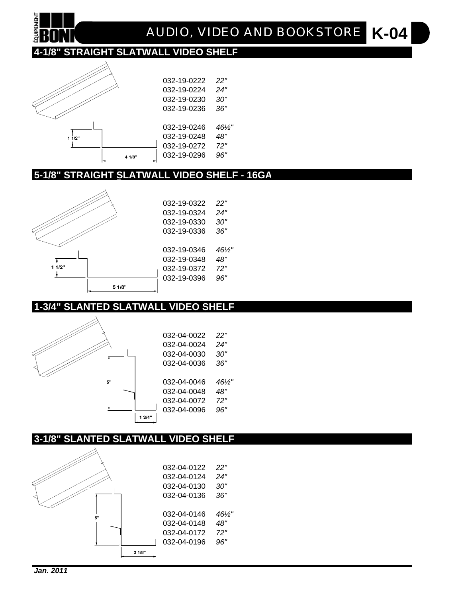

#### **3-1/8" SLANTED SLATWALL VIDEO SHELF**



#### **1-3/4" SLANTED SLATWALL VIDEO SHELF**



| 032-19-0322 | 22"  |
|-------------|------|
| 032-19-0324 | 24"  |
| 032-19-0330 | 30"  |
| 032-19-0336 | 36"  |
|             |      |
| 032-19-0346 | 46½" |
| 032-19-0348 | 48"  |
| 032-19-0372 | 72"  |
| 032-19-0396 | 96"  |
|             |      |

#### **5-1/8" STRAIGHT SLATWALL VIDEO SHELF - 16GA**



**QUIPEMEN** 



032-19-0222 *22"*

## **4-1/8" STRAIGHT SLATWALL VIDEO SHELF**

**K-04** *AUDIO, VIDEO AND BOOKSTORE*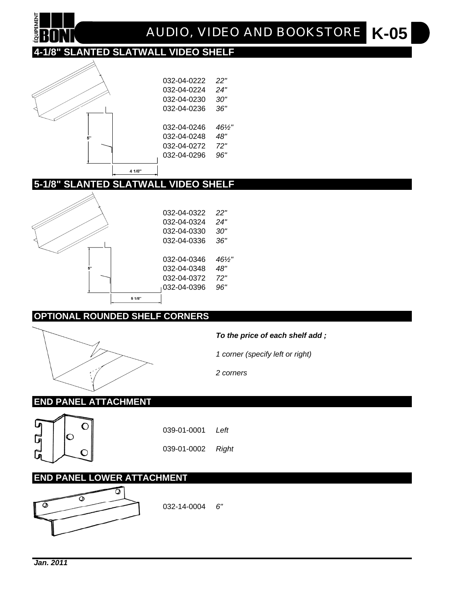

#### **OPTIONAL ROUNDED SHELF CORNERS**



*To the price of each shelf add ;*

*1 corner (specify left or right)*

*2 corners*

#### **END PANEL ATTACHMENT**



039-01-0001 *Left*

039-01-0002 *Right*

#### **END PANEL LOWER ATTACHMENT**



032-14-0004 *6"*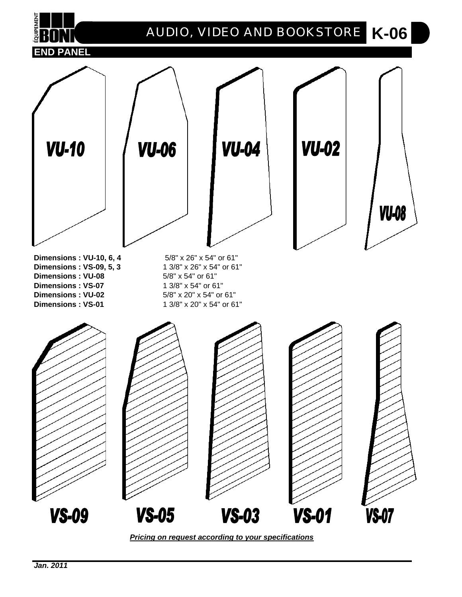

*Pricing on request according to your specifications*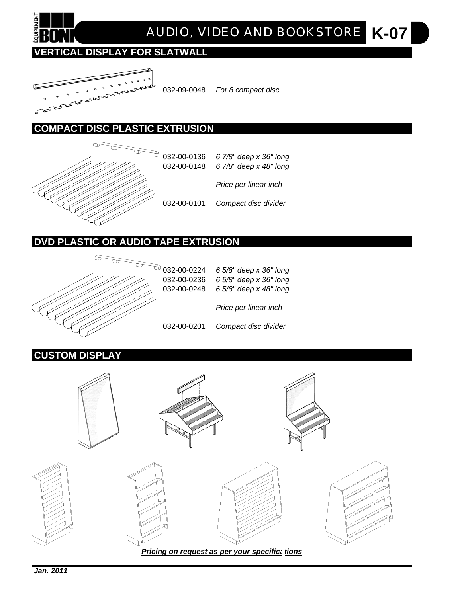

## **VERTICAL DISPLAY FOR SLATWALL**



032-09-0048 *For 8 compact disc*

#### **COMPACT DISC PLASTIC EXTRUSION**



032-00-0136 *6 7/8" deep x 36" long* 032-00-0148 *6 7/8" deep x 48" long Price per linear inch*

032-00-0101 *Compact disc divider*

### **DVD PLASTIC OR AUDIO TAPE EXTRUSION**



| 032-00-0224<br>032-00-0236<br>032-00-0248 | 6 5/8" deep x 36" long<br>6 5/8" deep x 36" long<br>6 5/8" deep x 48" long |
|-------------------------------------------|----------------------------------------------------------------------------|
|                                           | Price per linear inch                                                      |
| 032-00-0201                               | Compact disc divider                                                       |

### **CUSTOM DISPLAY**

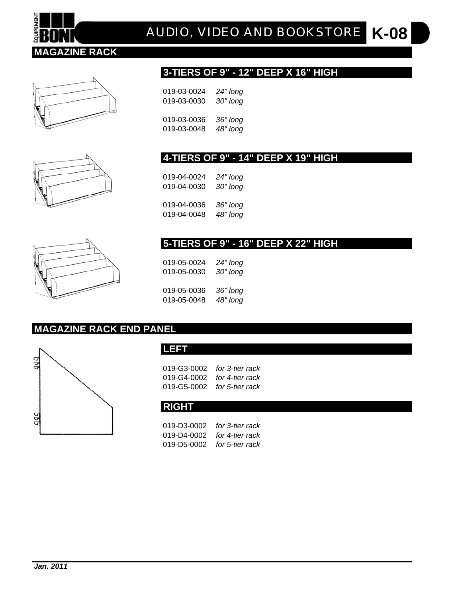

**K-08** *AUDIO, VIDEO AND BOOKSTORE*



#### **3-TIERS OF 9" - 12" DEEP X 16" HIGH**

| 019-03-0024 | 24" long |
|-------------|----------|
| 019-03-0030 | 30" long |
| 019-03-0036 | 36" long |
| 019-03-0048 | 48" long |

#### **4-TIERS OF 9" - 14" DEEP X 19" HIGH**

019-04-0024 *24" long*  019-04-0030 *30" long*  019-04-0036 *36" long*  019-04-0048 *48" long* 

#### **5-TIERS OF 9" - 16" DEEP X 22" HIGH**

019-05-0024 *24" long*  019-05-0030 *30" long*  019-05-0036 *36" long*  019-05-0048 *48" long* 

#### **MAGAZINE RACK END PANEL**



#### **LEFT**

| 019-G3-0002  for 3-tier rack        |  |
|-------------------------------------|--|
| 019-G4-0002  for <i>4-tier rack</i> |  |
| 019-G5-0002  for 5-tier rack        |  |

#### **RIGHT**

019-D3-0002 *for 3-tier rack* 019-D4-0002 *for 4-tier rack* 019-D5-0002 *for 5-tier rack*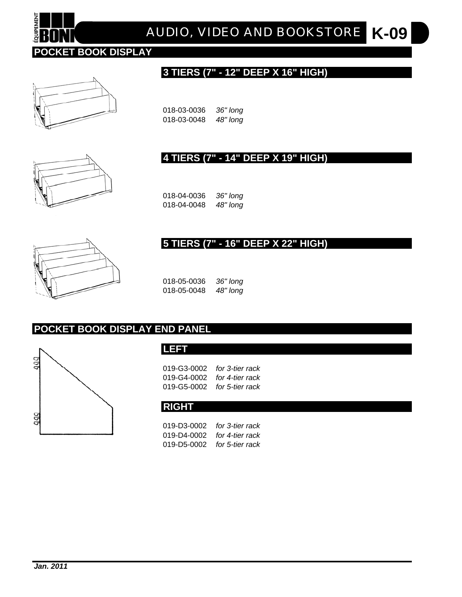

# **K-09** *AUDIO, VIDEO AND BOOKSTORE*

#### **3 TIERS (7" - 12" DEEP X 16" HIGH)**





018-03-0036 *36" long*  018-03-0048 *48" long* 

#### **4 TIERS (7" - 14" DEEP X 19" HIGH)**

018-04-0036 *36" long*  018-04-0048 *48" long* 

# **5 TIERS (7" - 16" DEEP X 22" HIGH)**



018-05-0036 *36" long*  018-05-0048 *48" long* 

#### **POCKET BOOK DISPLAY END PANEL**



019-G3-0002 *for 3-tier rack* 019-G4-0002 *for 4-tier rack* 019-G5-0002 *for 5-tier rack*

#### **RIGHT**

019-D3-0002 *for 3-tier rack* 019-D4-0002 *for 4-tier rack* 019-D5-0002 *for 5-tier rack*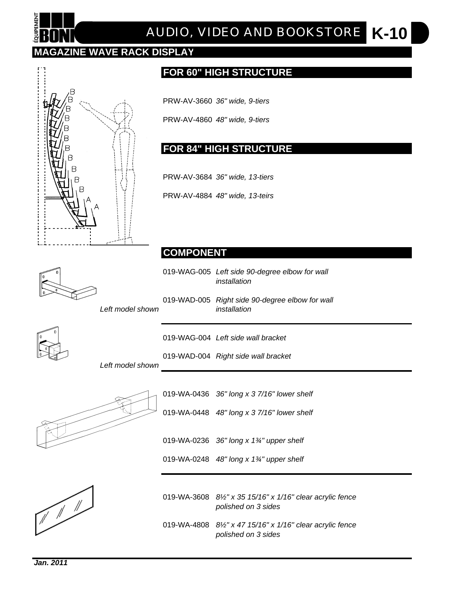

# **K-10** *AUDIO, VIDEO AND BOOKSTORE*

### **MAGAZINE WAVE RACK DISPLAY**



#### **FOR 60" HIGH STRUCTURE**

PRW-AV-3660 *36" wide, 9-tiers*

PRW-AV-4860 *48" wide, 9-tiers*

#### **FOR 84" HIGH STRUCTURE**

PRW-AV-3684 *36" wide, 13-tiers*

PRW-AV-4884 *48" wide, 13-teirs*

#### **COMPONENT**

019-WAG-005 *Left side 90-degree elbow for wall installation*

019-WAD-005 *Right side 90-degree elbow for wall Left model shown installation*



019-WAG-004 *Left side wall bracket*

019-WAD-004 *Right side wall bracket*

*Left model shown*



019-WA-0436 *36" long x 3 7/16" lower shelf* 019-WA-0448 *48" long x 3 7/16" lower shelf* 019-WA-0236 *36" long x 1¾" upper shelf*





019-WA-3608 *8½" x 35 15/16" x 1/16" clear acrylic fence polished on 3 sides*

019-WA-4808 *8½" x 47 15/16" x 1/16" clear acrylic fence polished on 3 sides*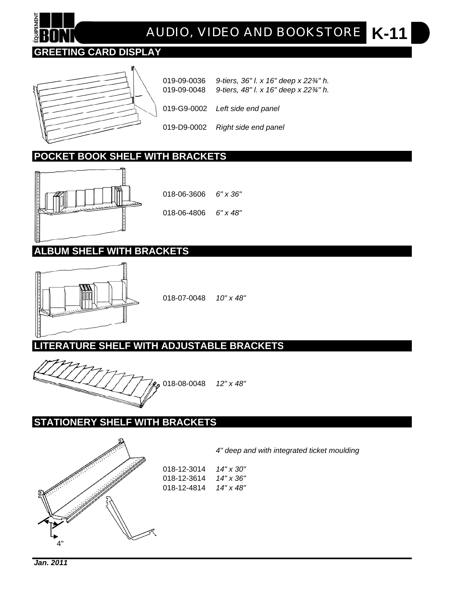## **GREETING CARD DISPLAY**



019-09-0036 *9-tiers, 36" l. x 16" deep x 22¾" h.* 019-09-0048 *9-tiers, 48" l. x 16" deep x 22¾" h.* 019-G9-0002 *Left side end panel*  019-D9-0002 *Right side end panel*

## **POCKET BOOK SHELF WITH BRACKETS**



018-06-3606 *6" x 36"* 018-06-4806 *6" x 48"*

## **ALBUM SHELF WITH BRACKETS**



018-07-0048 *10" x 48"*

**LITERATURE SHELF WITH ADJUSTABLE BRACKETS**



#### **STATIONERY SHELF WITH BRACKETS**



*4" deep and with integrated ticket moulding*

| 018-12-3014 | 14" x 30" |
|-------------|-----------|
| 018-12-3614 | 14" x 36" |
| 018-12-4814 | 14" x 48" |

*Jan. 2011*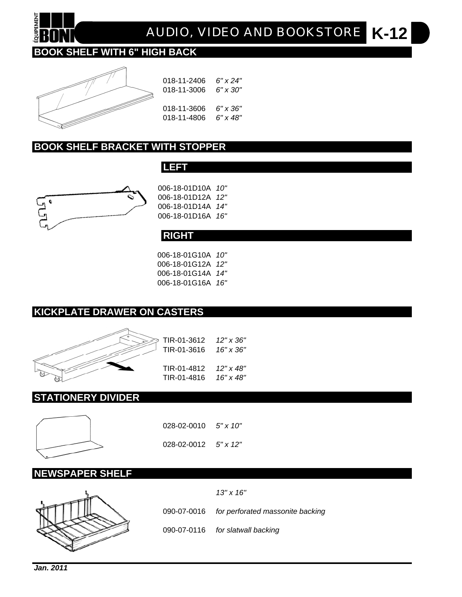

**K-12** *AUDIO, VIDEO AND BOOKSTORE*

# **BOOK SHELF WITH 6" HIGH BACK**



| 018-11-2406 | 6" x 24" |
|-------------|----------|
| 018-11-3006 | 6" x 30" |
| 018-11-3606 | 6" x 36" |
| 018-11-4806 | 6" x 48" |

#### **BOOK SHELF BRACKET WITH STOPPER**



| 006-18-01D10A 10"        |  |
|--------------------------|--|
| 006-18-01D12A 12"        |  |
| 006-18-01D14A <i>14"</i> |  |
| 006-18-01D16A 16"        |  |



**LEFT**

006-18-01G10A *10"* 006-18-01G12A *12"* 006-18-01G14A *14"* 006-18-01G16A *16"*

#### **KICKPLATE DRAWER ON CASTERS**



| TIR-01-3612 | 12" x 36' |
|-------------|-----------|
| TIR-01-3616 | 16" x 36" |
| TIR-01-4812 | 12" x 48' |
| TIR-01-4816 | 16" x 48' |

#### **STATIONERY DIVIDER**



028-02-0010 *5" x 10"* 028-02-0012 *5" x 12"*

#### **NEWSPAPER SHELF**



090-07-0016 *for perforated massonite backing* 090-07-0116 *for slatwall backing*